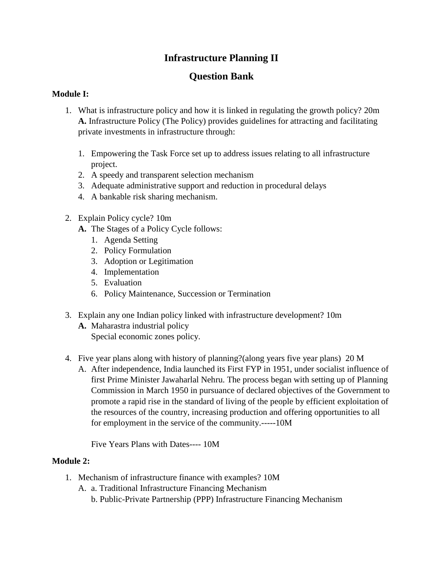# **Infrastructure Planning II**

# **Question Bank**

## **Module I:**

- 1. What is infrastructure policy and how it is linked in regulating the growth policy? 20m **A.** Infrastructure Policy (The Policy) provides guidelines for attracting and facilitating private investments in infrastructure through:
	- 1. Empowering the Task Force set up to address issues relating to all infrastructure project.
	- 2. A speedy and transparent selection mechanism
	- 3. Adequate administrative support and reduction in procedural delays
	- 4. A bankable risk sharing mechanism.
- 2. Explain Policy cycle? 10m
	- **A.** The Stages of a Policy Cycle follows:
		- 1. Agenda Setting
		- 2. Policy Formulation
		- 3. Adoption or Legitimation
		- 4. Implementation
		- 5. Evaluation
		- 6. Policy Maintenance, Succession or Termination
- 3. Explain any one Indian policy linked with infrastructure development? 10m
	- **A.** Maharastra industrial policy Special economic zones policy.
- 4. Five year plans along with history of planning?(along years five year plans) 20 M
	- A. After independence, India launched its First FYP in 1951, under socialist influence of first Prime Minister Jawaharlal Nehru. The process began with setting up of Planning Commission in March 1950 in pursuance of declared objectives of the Government to promote a rapid rise in the standard of living of the people by efficient exploitation of the resources of the country, increasing production and offering opportunities to all for employment in the service of the community.-----10M

Five Years Plans with Dates---- 10M

### **Module 2:**

- 1. Mechanism of infrastructure finance with examples? 10M
	- A. a. Traditional Infrastructure Financing Mechanism
		- b. Public-Private Partnership (PPP) Infrastructure Financing Mechanism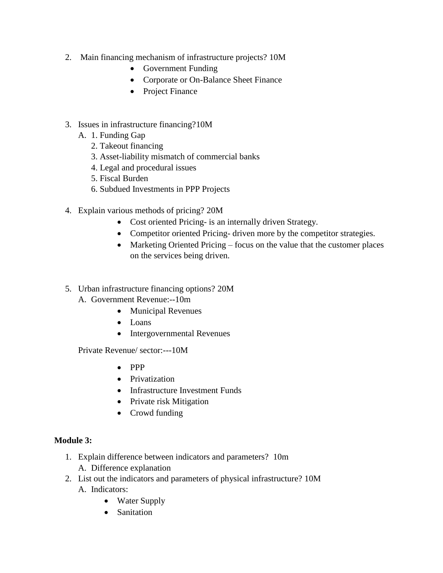- 2. Main financing mechanism of infrastructure projects? 10M
	- Government Funding
	- Corporate or On-Balance Sheet Finance
	- Project Finance
- 3. Issues in infrastructure financing?10M
	- A. 1. Funding Gap
		- 2. Takeout financing
		- 3. Asset-liability mismatch of commercial banks
		- 4. Legal and procedural issues
		- 5. Fiscal Burden
		- 6. Subdued Investments in PPP Projects
- 4. Explain various methods of pricing? 20M
	- Cost oriented Pricing- is an internally driven Strategy.
	- Competitor oriented Pricing- driven more by the competitor strategies.
	- Marketing Oriented Pricing focus on the value that the customer places on the services being driven.
- 5. Urban infrastructure financing options? 20M
	- A. Government Revenue:--10m
		- Municipal Revenues
		- Loans
		- Intergovernmental Revenues

Private Revenue/ sector:---10M

- $\bullet$  PPP
- Privatization
- Infrastructure Investment Funds
- Private risk Mitigation
- Crowd funding

#### **Module 3:**

- 1. Explain difference between indicators and parameters? 10m
	- A. Difference explanation
- 2. List out the indicators and parameters of physical infrastructure? 10M A. Indicators:
	- Water Supply
	- Sanitation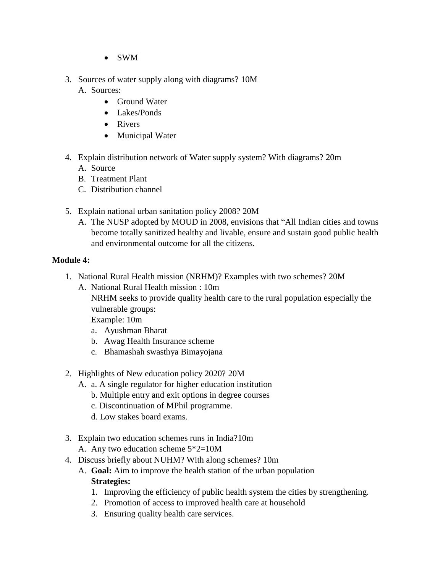- SWM
- 3. Sources of water supply along with diagrams? 10M
	- A. Sources:
		- Ground Water
		- Lakes/Ponds
		- Rivers
		- Municipal Water
- 4. Explain distribution network of Water supply system? With diagrams? 20m
	- A. Source
	- B. Treatment Plant
	- C. Distribution channel
- 5. Explain national urban sanitation policy 2008? 20M
	- A. The NUSP adopted by MOUD in 2008, envisions that "All Indian cities and towns become totally sanitized healthy and livable, ensure and sustain good public health and environmental outcome for all the citizens.

## **Module 4:**

- 1. National Rural Health mission (NRHM)? Examples with two schemes? 20M
	- A. National Rural Health mission : 10m NRHM seeks to provide quality health care to the rural population especially the vulnerable groups: Example: 10m
		- a. Ayushman Bharat
		- b. Awag Health Insurance scheme
		- c. Bhamashah swasthya Bimayojana
- 2. Highlights of New education policy 2020? 20M
	- A. a. A single regulator for higher education institution
		- b. Multiple entry and exit options in degree courses
		- c. Discontinuation of MPhil programme.
		- d. Low stakes board exams.
- 3. Explain two education schemes runs in India?10m
	- A. Any two education scheme 5\*2=10M
- 4. Discuss briefly about NUHM? With along schemes? 10m
	- A. **Goal:** Aim to improve the health station of the urban population **Strategies:**
		- 1. Improving the efficiency of public health system the cities by strengthening.
		- 2. Promotion of access to improved health care at household
		- 3. Ensuring quality health care services.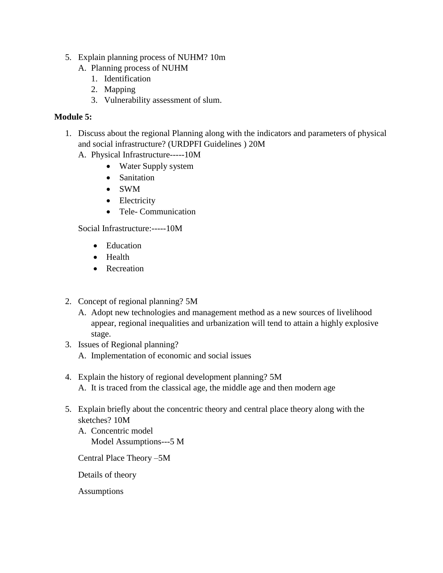- 5. Explain planning process of NUHM? 10m
	- A. Planning process of NUHM
		- 1. Identification
		- 2. Mapping
		- 3. Vulnerability assessment of slum.

## **Module 5:**

- 1. Discuss about the regional Planning along with the indicators and parameters of physical and social infrastructure? (URDPFI Guidelines ) 20M
	- A. Physical Infrastructure-----10M
		- Water Supply system
		- Sanitation
		- SWM
		- Electricity
		- Tele- Communication

Social Infrastructure:-----10M

- Education
- Health
- Recreation
- 2. Concept of regional planning? 5M
	- A. Adopt new technologies and management method as a new sources of livelihood appear, regional inequalities and urbanization will tend to attain a highly explosive stage.
- 3. Issues of Regional planning? A. Implementation of economic and social issues
- 4. Explain the history of regional development planning? 5M A. It is traced from the classical age, the middle age and then modern age
- 5. Explain briefly about the concentric theory and central place theory along with the sketches? 10M
	- A. Concentric model Model Assumptions---5 M

Central Place Theory –5M

Details of theory

Assumptions